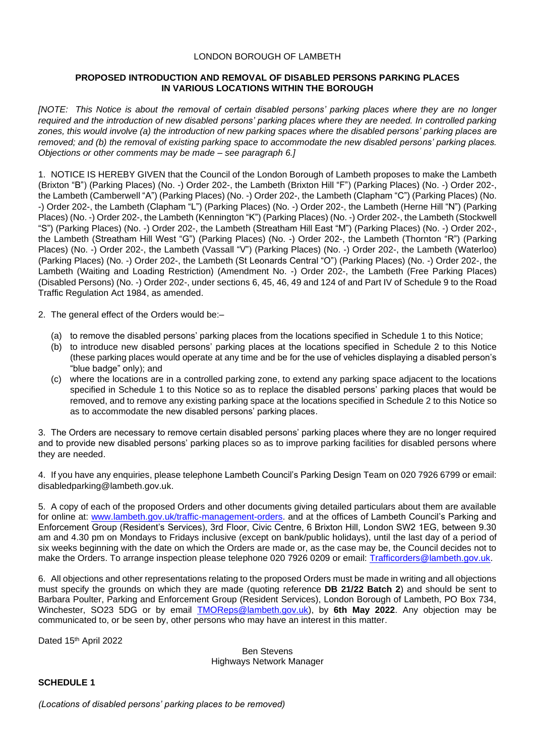## LONDON BOROUGH OF LAMBETH

## **PROPOSED INTRODUCTION AND REMOVAL OF DISABLED PERSONS PARKING PLACES IN VARIOUS LOCATIONS WITHIN THE BOROUGH**

*[NOTE: This Notice is about the removal of certain disabled persons' parking places where they are no longer required and the introduction of new disabled persons' parking places where they are needed. In controlled parking zones, this would involve (a) the introduction of new parking spaces where the disabled persons' parking places are removed; and (b) the removal of existing parking space to accommodate the new disabled persons' parking places. Objections or other comments may be made – see paragraph 6.]* 

1. NOTICE IS HEREBY GIVEN that the Council of the London Borough of Lambeth proposes to make the Lambeth (Brixton "B") (Parking Places) (No. -) Order 202-, the Lambeth (Brixton Hill "F") (Parking Places) (No. -) Order 202-, the Lambeth (Camberwell "A") (Parking Places) (No. -) Order 202-, the Lambeth (Clapham "C") (Parking Places) (No. -) Order 202-, the Lambeth (Clapham "L") (Parking Places) (No. -) Order 202-, the Lambeth (Herne Hill "N") (Parking Places) (No. -) Order 202-, the Lambeth (Kennington "K") (Parking Places) (No. -) Order 202-, the Lambeth (Stockwell "S") (Parking Places) (No. -) Order 202-, the Lambeth (Streatham Hill East "M") (Parking Places) (No. -) Order 202-, the Lambeth (Streatham Hill West "G") (Parking Places) (No. -) Order 202-, the Lambeth (Thornton "R") (Parking Places) (No. -) Order 202-, the Lambeth (Vassall "V") (Parking Places) (No. -) Order 202-, the Lambeth (Waterloo) (Parking Places) (No. -) Order 202-, the Lambeth (St Leonards Central "O") (Parking Places) (No. -) Order 202-, the Lambeth (Waiting and Loading Restriction) (Amendment No. -) Order 202-, the Lambeth (Free Parking Places) (Disabled Persons) (No. -) Order 202-, under sections 6, 45, 46, 49 and 124 of and Part IV of Schedule 9 to the Road Traffic Regulation Act 1984, as amended.

- 2. The general effect of the Orders would be:–
	- (a) to remove the disabled persons' parking places from the locations specified in Schedule 1 to this Notice;
	- (b) to introduce new disabled persons' parking places at the locations specified in Schedule 2 to this Notice (these parking places would operate at any time and be for the use of vehicles displaying a disabled person's "blue badge" only); and
	- (c) where the locations are in a controlled parking zone, to extend any parking space adjacent to the locations specified in Schedule 1 to this Notice so as to replace the disabled persons' parking places that would be removed, and to remove any existing parking space at the locations specified in Schedule 2 to this Notice so as to accommodate the new disabled persons' parking places.

3. The Orders are necessary to remove certain disabled persons' parking places where they are no longer required and to provide new disabled persons' parking places so as to improve parking facilities for disabled persons where they are needed.

4. If you have any enquiries, please telephone Lambeth Council's Parking Design Team on 020 7926 6799 or email: disabledparking@lambeth.gov.uk.

5. A copy of each of the proposed Orders and other documents giving detailed particulars about them are available for online at: [www.lambeth.gov.uk/traffic-management-orders.](http://www.lambeth.gov.uk/traffic-management-orders) and at the offices of Lambeth Council's Parking and Enforcement Group (Resident's Services), 3rd Floor, Civic Centre, 6 Brixton Hill, London SW2 1EG, between 9.30 am and 4.30 pm on Mondays to Fridays inclusive (except on bank/public holidays), until the last day of a period of six weeks beginning with the date on which the Orders are made or, as the case may be, the Council decides not to make the Orders. To arrange inspection please telephone 020 7926 0209 or email: [Trafficorders@lambeth.gov.uk.](mailto:Trafficorders@lambeth.gov.uk)

6. All objections and other representations relating to the proposed Orders must be made in writing and all objections must specify the grounds on which they are made (quoting reference **DB 21/22 Batch 2**) and should be sent to Barbara Poulter, Parking and Enforcement Group (Resident Services), London Borough of Lambeth, PO Box 734, Winchester, SO23 5DG or by email [TMOReps@lambeth.gov.uk\)](mailto:TMOReps@lambeth.gov.uk), by **6th May 2022**. Any objection may be communicated to, or be seen by, other persons who may have an interest in this matter.

Dated 15th April 2022

Ben Stevens Highways Network Manager

# **SCHEDULE 1**

*(Locations of disabled persons' parking places to be removed)*